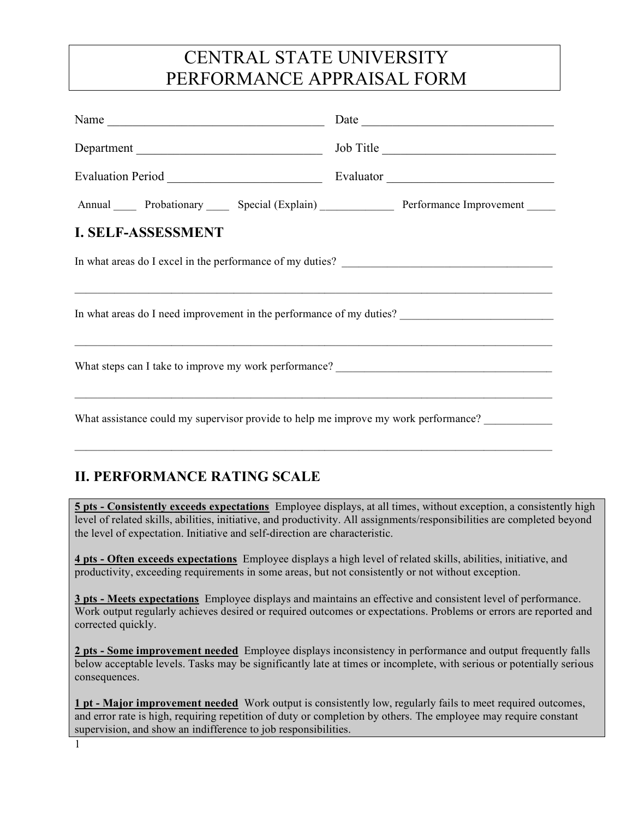# CENTRAL STATE UNIVERSITY PERFORMANCE APPRAISAL FORM

| Name $\frac{1}{\sqrt{1-\frac{1}{2}}\left\vert \frac{1}{2}\right\vert }$                                      |  |  |  |  |  |
|--------------------------------------------------------------------------------------------------------------|--|--|--|--|--|
|                                                                                                              |  |  |  |  |  |
|                                                                                                              |  |  |  |  |  |
|                                                                                                              |  |  |  |  |  |
| <b>I. SELF-ASSESSMENT</b>                                                                                    |  |  |  |  |  |
| In what areas do I excel in the performance of my duties?                                                    |  |  |  |  |  |
| In what areas do I need improvement in the performance of my duties?<br><u>Letting</u> the set of my duties? |  |  |  |  |  |
| 이 사이 사이 사이 사이에 대한 사이에 대한 사이에 대한 사이에 대한 사이에 대한 사이 사이 사이 사이 사이 시간이 되었다.                                        |  |  |  |  |  |
| What assistance could my supervisor provide to help me improve my work performance?                          |  |  |  |  |  |

## **II. PERFORMANCE RATING SCALE**

**5 pts - Consistently exceeds expectations** Employee displays, at all times, without exception, a consistently high level of related skills, abilities, initiative, and productivity. All assignments/responsibilities are completed beyond the level of expectation. Initiative and self-direction are characteristic.

**4 pts - Often exceeds expectations** Employee displays a high level of related skills, abilities, initiative, and productivity, exceeding requirements in some areas, but not consistently or not without exception.

 $\mathcal{L}_\mathcal{L} = \{ \mathcal{L}_\mathcal{L} = \{ \mathcal{L}_\mathcal{L} = \{ \mathcal{L}_\mathcal{L} = \{ \mathcal{L}_\mathcal{L} = \{ \mathcal{L}_\mathcal{L} = \{ \mathcal{L}_\mathcal{L} = \{ \mathcal{L}_\mathcal{L} = \{ \mathcal{L}_\mathcal{L} = \{ \mathcal{L}_\mathcal{L} = \{ \mathcal{L}_\mathcal{L} = \{ \mathcal{L}_\mathcal{L} = \{ \mathcal{L}_\mathcal{L} = \{ \mathcal{L}_\mathcal{L} = \{ \mathcal{L}_\mathcal{$ 

**3 pts - Meets expectations** Employee displays and maintains an effective and consistent level of performance. Work output regularly achieves desired or required outcomes or expectations. Problems or errors are reported and corrected quickly.

**2 pts - Some improvement needed** Employee displays inconsistency in performance and output frequently falls below acceptable levels. Tasks may be significantly late at times or incomplete, with serious or potentially serious consequences.

**1 pt - Major improvement needed** Work output is consistently low, regularly fails to meet required outcomes, and error rate is high, requiring repetition of duty or completion by others. The employee may require constant supervision, and show an indifference to job responsibilities.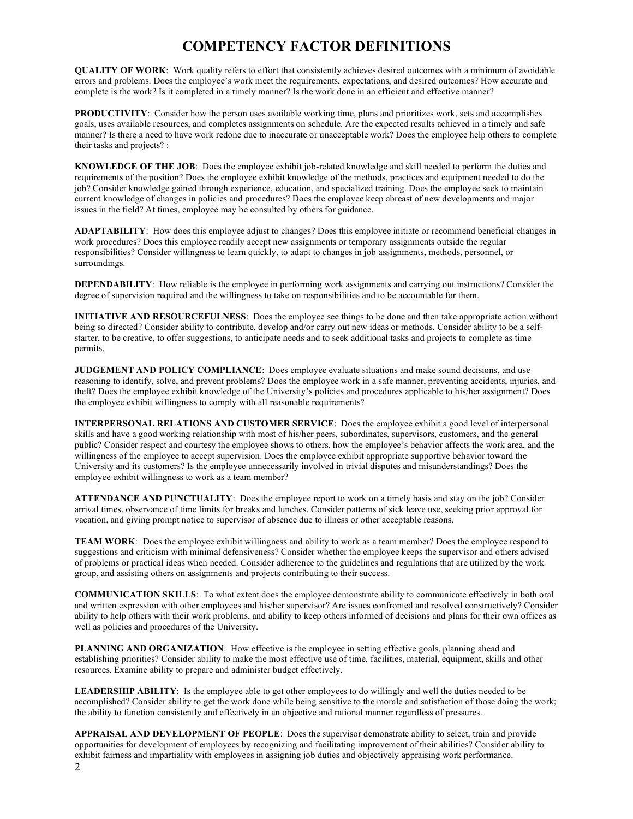### **COMPETENCY FACTOR DEFINITIONS**

**QUALITY OF WORK**: Work quality refers to effort that consistently achieves desired outcomes with a minimum of avoidable errors and problems. Does the employee's work meet the requirements, expectations, and desired outcomes? How accurate and complete is the work? Is it completed in a timely manner? Is the work done in an efficient and effective manner?

**PRODUCTIVITY**: Consider how the person uses available working time, plans and prioritizes work, sets and accomplishes goals, uses available resources, and completes assignments on schedule. Are the expected results achieved in a timely and safe manner? Is there a need to have work redone due to inaccurate or unacceptable work? Does the employee help others to complete their tasks and projects? :

**KNOWLEDGE OF THE JOB**: Does the employee exhibit job-related knowledge and skill needed to perform the duties and requirements of the position? Does the employee exhibit knowledge of the methods, practices and equipment needed to do the job? Consider knowledge gained through experience, education, and specialized training. Does the employee seek to maintain current knowledge of changes in policies and procedures? Does the employee keep abreast of new developments and major issues in the field? At times, employee may be consulted by others for guidance.

**ADAPTABILITY**: How does this employee adjust to changes? Does this employee initiate or recommend beneficial changes in work procedures? Does this employee readily accept new assignments or temporary assignments outside the regular responsibilities? Consider willingness to learn quickly, to adapt to changes in job assignments, methods, personnel, or surroundings.

**DEPENDABILITY**: How reliable is the employee in performing work assignments and carrying out instructions? Consider the degree of supervision required and the willingness to take on responsibilities and to be accountable for them.

**INITIATIVE AND RESOURCEFULNESS**: Does the employee see things to be done and then take appropriate action without being so directed? Consider ability to contribute, develop and/or carry out new ideas or methods. Consider ability to be a selfstarter, to be creative, to offer suggestions, to anticipate needs and to seek additional tasks and projects to complete as time permits.

**JUDGEMENT AND POLICY COMPLIANCE**: Does employee evaluate situations and make sound decisions, and use reasoning to identify, solve, and prevent problems? Does the employee work in a safe manner, preventing accidents, injuries, and theft? Does the employee exhibit knowledge of the University's policies and procedures applicable to his/her assignment? Does the employee exhibit willingness to comply with all reasonable requirements?

**INTERPERSONAL RELATIONS AND CUSTOMER SERVICE**: Does the employee exhibit a good level of interpersonal skills and have a good working relationship with most of his/her peers, subordinates, supervisors, customers, and the general public? Consider respect and courtesy the employee shows to others, how the employee's behavior affects the work area, and the willingness of the employee to accept supervision. Does the employee exhibit appropriate supportive behavior toward the University and its customers? Is the employee unnecessarily involved in trivial disputes and misunderstandings? Does the employee exhibit willingness to work as a team member?

**ATTENDANCE AND PUNCTUALITY**: Does the employee report to work on a timely basis and stay on the job? Consider arrival times, observance of time limits for breaks and lunches. Consider patterns of sick leave use, seeking prior approval for vacation, and giving prompt notice to supervisor of absence due to illness or other acceptable reasons.

**TEAM WORK**: Does the employee exhibit willingness and ability to work as a team member? Does the employee respond to suggestions and criticism with minimal defensiveness? Consider whether the employee keeps the supervisor and others advised of problems or practical ideas when needed. Consider adherence to the guidelines and regulations that are utilized by the work group, and assisting others on assignments and projects contributing to their success.

**COMMUNICATION SKILLS**: To what extent does the employee demonstrate ability to communicate effectively in both oral and written expression with other employees and his/her supervisor? Are issues confronted and resolved constructively? Consider ability to help others with their work problems, and ability to keep others informed of decisions and plans for their own offices as well as policies and procedures of the University.

**PLANNING AND ORGANIZATION**: How effective is the employee in setting effective goals, planning ahead and establishing priorities? Consider ability to make the most effective use of time, facilities, material, equipment, skills and other resources. Examine ability to prepare and administer budget effectively.

**LEADERSHIP ABILITY**: Is the employee able to get other employees to do willingly and well the duties needed to be accomplished? Consider ability to get the work done while being sensitive to the morale and satisfaction of those doing the work; the ability to function consistently and effectively in an objective and rational manner regardless of pressures.

**APPRAISAL AND DEVELOPMENT OF PEOPLE**: Does the supervisor demonstrate ability to select, train and provide opportunities for development of employees by recognizing and facilitating improvement of their abilities? Consider ability to exhibit fairness and impartiality with employees in assigning job duties and objectively appraising work performance.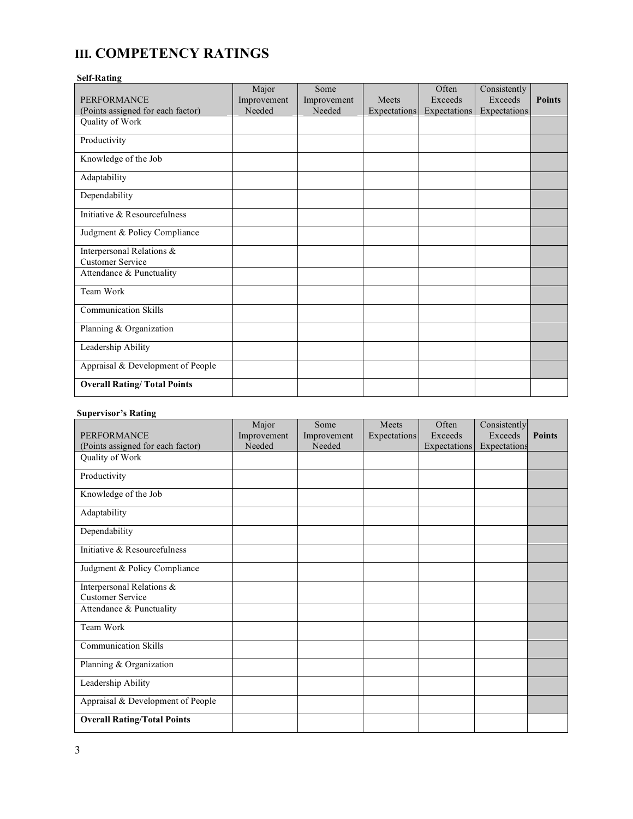## **III. COMPETENCY RATINGS**

#### **Self-Rating**

|                                    | Major       | Some        |              | Often        | Consistently |               |
|------------------------------------|-------------|-------------|--------------|--------------|--------------|---------------|
| <b>PERFORMANCE</b>                 | Improvement | Improvement | Meets        | Exceeds      | Exceeds      | <b>Points</b> |
| (Points assigned for each factor)  | Needed      | Needed      | Expectations | Expectations | Expectations |               |
| Quality of Work                    |             |             |              |              |              |               |
| Productivity                       |             |             |              |              |              |               |
| Knowledge of the Job               |             |             |              |              |              |               |
| Adaptability                       |             |             |              |              |              |               |
| Dependability                      |             |             |              |              |              |               |
| Initiative & Resourcefulness       |             |             |              |              |              |               |
| Judgment & Policy Compliance       |             |             |              |              |              |               |
| Interpersonal Relations &          |             |             |              |              |              |               |
| <b>Customer Service</b>            |             |             |              |              |              |               |
| Attendance & Punctuality           |             |             |              |              |              |               |
| Team Work                          |             |             |              |              |              |               |
| <b>Communication Skills</b>        |             |             |              |              |              |               |
| Planning & Organization            |             |             |              |              |              |               |
| Leadership Ability                 |             |             |              |              |              |               |
| Appraisal & Development of People  |             |             |              |              |              |               |
| <b>Overall Rating/Total Points</b> |             |             |              |              |              |               |

#### **Supervisor's Rating**

|                                    | Major       | Some        | Meets        | Often               | Consistently |               |
|------------------------------------|-------------|-------------|--------------|---------------------|--------------|---------------|
| <b>PERFORMANCE</b>                 | Improvement | Improvement | Expectations | Exceeds             | Exceeds      | <b>Points</b> |
| (Points assigned for each factor)  | Needed      | Needed      |              | <b>Expectations</b> | Expectations |               |
| Quality of Work                    |             |             |              |                     |              |               |
| Productivity                       |             |             |              |                     |              |               |
| Knowledge of the Job               |             |             |              |                     |              |               |
| Adaptability                       |             |             |              |                     |              |               |
| Dependability                      |             |             |              |                     |              |               |
| Initiative & Resourcefulness       |             |             |              |                     |              |               |
| Judgment & Policy Compliance       |             |             |              |                     |              |               |
| Interpersonal Relations &          |             |             |              |                     |              |               |
| <b>Customer Service</b>            |             |             |              |                     |              |               |
| Attendance & Punctuality           |             |             |              |                     |              |               |
| Team Work                          |             |             |              |                     |              |               |
| <b>Communication Skills</b>        |             |             |              |                     |              |               |
| Planning & Organization            |             |             |              |                     |              |               |
| Leadership Ability                 |             |             |              |                     |              |               |
| Appraisal & Development of People  |             |             |              |                     |              |               |
| <b>Overall Rating/Total Points</b> |             |             |              |                     |              |               |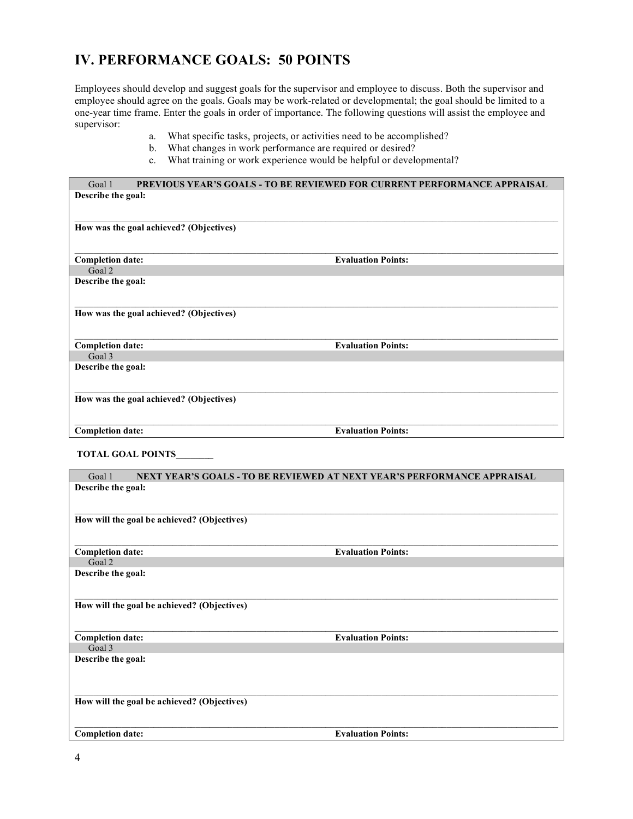## **IV. PERFORMANCE GOALS: 50 POINTS**

Employees should develop and suggest goals for the supervisor and employee to discuss. Both the supervisor and employee should agree on the goals. Goals may be work-related or developmental; the goal should be limited to a one-year time frame. Enter the goals in order of importance. The following questions will assist the employee and supervisor:

- a. What specific tasks, projects, or activities need to be accomplished?
- b. What changes in work performance are required or desired?
- c. What training or work experience would be helpful or developmental?

| Goal 1                  | <b>PREVIOUS YEAR'S GOALS - TO BE REVIEWED FOR CURRENT PERFORMANCE APPRAISAL</b> |  |  |
|-------------------------|---------------------------------------------------------------------------------|--|--|
| Describe the goal:      |                                                                                 |  |  |
|                         |                                                                                 |  |  |
|                         |                                                                                 |  |  |
|                         | How was the goal achieved? (Objectives)                                         |  |  |
|                         |                                                                                 |  |  |
|                         |                                                                                 |  |  |
| <b>Completion date:</b> | <b>Evaluation Points:</b>                                                       |  |  |
| Goal 2                  |                                                                                 |  |  |
| Describe the goal:      |                                                                                 |  |  |
|                         |                                                                                 |  |  |
|                         |                                                                                 |  |  |
|                         | How was the goal achieved? (Objectives)                                         |  |  |
|                         |                                                                                 |  |  |
| <b>Completion date:</b> | <b>Evaluation Points:</b>                                                       |  |  |
| Goal 3                  |                                                                                 |  |  |
| Describe the goal:      |                                                                                 |  |  |
|                         |                                                                                 |  |  |
|                         |                                                                                 |  |  |
|                         | How was the goal achieved? (Objectives)                                         |  |  |
|                         |                                                                                 |  |  |
|                         |                                                                                 |  |  |
| <b>Completion date:</b> | <b>Evaluation Points:</b>                                                       |  |  |
|                         |                                                                                 |  |  |

**TOTAL GOAL POINTS\_\_\_\_\_\_\_\_**

| Goal 1                                      | NEXT YEAR'S GOALS - TO BE REVIEWED AT NEXT YEAR'S PERFORMANCE APPRAISAL |  |  |  |
|---------------------------------------------|-------------------------------------------------------------------------|--|--|--|
| Describe the goal:                          |                                                                         |  |  |  |
|                                             |                                                                         |  |  |  |
|                                             |                                                                         |  |  |  |
| How will the goal be achieved? (Objectives) |                                                                         |  |  |  |
|                                             |                                                                         |  |  |  |
|                                             |                                                                         |  |  |  |
| <b>Completion date:</b>                     | <b>Evaluation Points:</b>                                               |  |  |  |
| Goal 2                                      |                                                                         |  |  |  |
| Describe the goal:                          |                                                                         |  |  |  |
|                                             |                                                                         |  |  |  |
|                                             |                                                                         |  |  |  |
| How will the goal be achieved? (Objectives) |                                                                         |  |  |  |
|                                             |                                                                         |  |  |  |
|                                             |                                                                         |  |  |  |
| <b>Completion date:</b><br>Goal 3           | <b>Evaluation Points:</b>                                               |  |  |  |
|                                             |                                                                         |  |  |  |
| Describe the goal:                          |                                                                         |  |  |  |
|                                             |                                                                         |  |  |  |
|                                             |                                                                         |  |  |  |
| How will the goal be achieved? (Objectives) |                                                                         |  |  |  |
|                                             |                                                                         |  |  |  |
|                                             |                                                                         |  |  |  |
| <b>Completion date:</b>                     | <b>Evaluation Points:</b>                                               |  |  |  |
|                                             |                                                                         |  |  |  |